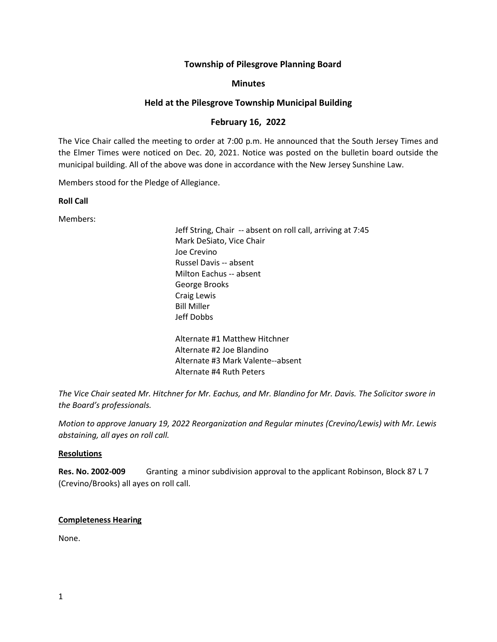# **Township of Pilesgrove Planning Board**

## **Minutes**

# **Held at the Pilesgrove Township Municipal Building**

# **February 16, 2022**

The Vice Chair called the meeting to order at 7:00 p.m. He announced that the South Jersey Times and the Elmer Times were noticed on Dec. 20, 2021. Notice was posted on the bulletin board outside the municipal building. All of the above was done in accordance with the New Jersey Sunshine Law.

Members stood for the Pledge of Allegiance.

**Roll Call**

Members:

Jeff String, Chair -- absent on roll call, arriving at 7:45 Mark DeSiato, Vice Chair Joe Crevino Russel Davis -- absent Milton Eachus -- absent George Brooks Craig Lewis Bill Miller Jeff Dobbs Alternate #1 Matthew Hitchner Alternate #2 Joe Blandino Alternate #3 Mark Valente--absent

*The Vice Chair seated Mr. Hitchner for Mr. Eachus, and Mr. Blandino for Mr. Davis. The Solicitor swore in the Board's professionals.* 

Alternate #4 Ruth Peters

*Motion to approve January 19, 2022 Reorganization and Regular minutes (Crevino/Lewis) with Mr. Lewis abstaining, all ayes on roll call.*

## **Resolutions**

**Res. No. 2002-009** Granting a minor subdivision approval to the applicant Robinson, Block 87 L 7 (Crevino/Brooks) all ayes on roll call.

## **Completeness Hearing**

None.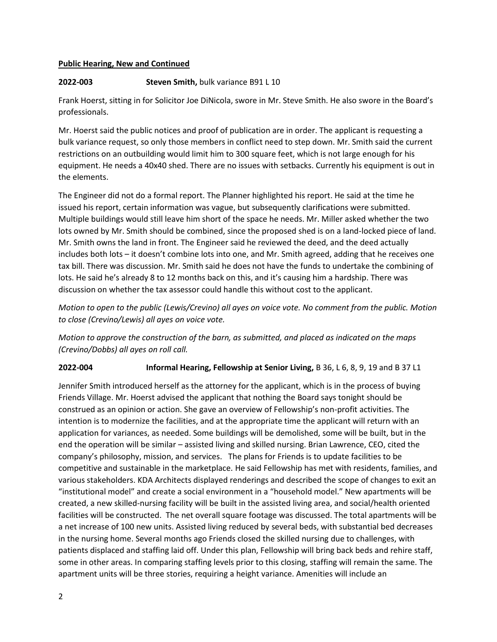## **Public Hearing, New and Continued**

# **2022-003 Steven Smith,** bulk variance B91 L 10

Frank Hoerst, sitting in for Solicitor Joe DiNicola, swore in Mr. Steve Smith. He also swore in the Board's professionals.

Mr. Hoerst said the public notices and proof of publication are in order. The applicant is requesting a bulk variance request, so only those members in conflict need to step down. Mr. Smith said the current restrictions on an outbuilding would limit him to 300 square feet, which is not large enough for his equipment. He needs a 40x40 shed. There are no issues with setbacks. Currently his equipment is out in the elements.

The Engineer did not do a formal report. The Planner highlighted his report. He said at the time he issued his report, certain information was vague, but subsequently clarifications were submitted. Multiple buildings would still leave him short of the space he needs. Mr. Miller asked whether the two lots owned by Mr. Smith should be combined, since the proposed shed is on a land-locked piece of land. Mr. Smith owns the land in front. The Engineer said he reviewed the deed, and the deed actually includes both lots – it doesn't combine lots into one, and Mr. Smith agreed, adding that he receives one tax bill. There was discussion. Mr. Smith said he does not have the funds to undertake the combining of lots. He said he's already 8 to 12 months back on this, and it's causing him a hardship. There was discussion on whether the tax assessor could handle this without cost to the applicant.

*Motion to open to the public (Lewis/Crevino) all ayes on voice vote. No comment from the public. Motion to close (Crevino/Lewis) all ayes on voice vote.*

*Motion to approve the construction of the barn, as submitted, and placed as indicated on the maps (Crevino/Dobbs) all ayes on roll call.*

## **2022-004 Informal Hearing, Fellowship at Senior Living,** B 36, L 6, 8, 9, 19 and B 37 L1

Jennifer Smith introduced herself as the attorney for the applicant, which is in the process of buying Friends Village. Mr. Hoerst advised the applicant that nothing the Board says tonight should be construed as an opinion or action. She gave an overview of Fellowship's non-profit activities. The intention is to modernize the facilities, and at the appropriate time the applicant will return with an application for variances, as needed. Some buildings will be demolished, some will be built, but in the end the operation will be similar – assisted living and skilled nursing. Brian Lawrence, CEO, cited the company's philosophy, mission, and services. The plans for Friends is to update facilities to be competitive and sustainable in the marketplace. He said Fellowship has met with residents, families, and various stakeholders. KDA Architects displayed renderings and described the scope of changes to exit an "institutional model" and create a social environment in a "household model." New apartments will be created, a new skilled-nursing facility will be built in the assisted living area, and social/health oriented facilities will be constructed. The net overall square footage was discussed. The total apartments will be a net increase of 100 new units. Assisted living reduced by several beds, with substantial bed decreases in the nursing home. Several months ago Friends closed the skilled nursing due to challenges, with patients displaced and staffing laid off. Under this plan, Fellowship will bring back beds and rehire staff, some in other areas. In comparing staffing levels prior to this closing, staffing will remain the same. The apartment units will be three stories, requiring a height variance. Amenities will include an